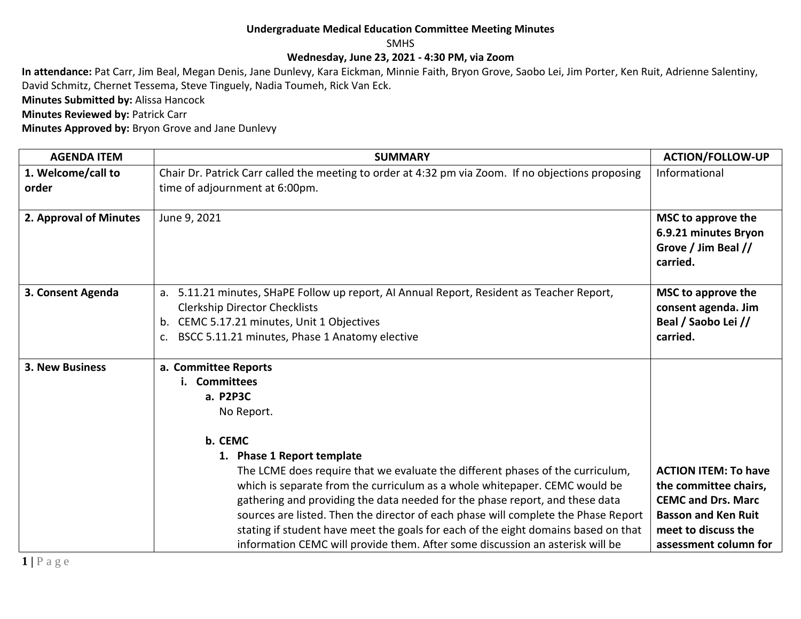## **Undergraduate Medical Education Committee Meeting Minutes**

SMHS

## **Wednesday, June 23, 2021 - 4:30 PM, via Zoom**

**In attendance:** Pat Carr, Jim Beal, Megan Denis, Jane Dunlevy, Kara Eickman, Minnie Faith, Bryon Grove, Saobo Lei, Jim Porter, Ken Ruit, Adrienne Salentiny, David Schmitz, Chernet Tessema, Steve Tinguely, Nadia Toumeh, Rick Van Eck.

**Minutes Submitted by:** Alissa Hancock

**Minutes Reviewed by: Patrick Carr** 

**Minutes Approved by:** Bryon Grove and Jane Dunlevy

| <b>AGENDA ITEM</b>          | <b>SUMMARY</b>                                                                                                                                                                                                                                                                                                                                                                                                                                                                                                                                                                                                            | <b>ACTION/FOLLOW-UP</b>                                                                                                                                         |
|-----------------------------|---------------------------------------------------------------------------------------------------------------------------------------------------------------------------------------------------------------------------------------------------------------------------------------------------------------------------------------------------------------------------------------------------------------------------------------------------------------------------------------------------------------------------------------------------------------------------------------------------------------------------|-----------------------------------------------------------------------------------------------------------------------------------------------------------------|
| 1. Welcome/call to<br>order | Chair Dr. Patrick Carr called the meeting to order at 4:32 pm via Zoom. If no objections proposing<br>time of adjournment at 6:00pm.                                                                                                                                                                                                                                                                                                                                                                                                                                                                                      | Informational                                                                                                                                                   |
| 2. Approval of Minutes      | June 9, 2021                                                                                                                                                                                                                                                                                                                                                                                                                                                                                                                                                                                                              | MSC to approve the<br>6.9.21 minutes Bryon<br>Grove / Jim Beal //<br>carried.                                                                                   |
| 3. Consent Agenda           | 5.11.21 minutes, SHaPE Follow up report, AI Annual Report, Resident as Teacher Report,<br>a.<br><b>Clerkship Director Checklists</b><br>CEMC 5.17.21 minutes, Unit 1 Objectives<br>b.<br>BSCC 5.11.21 minutes, Phase 1 Anatomy elective<br>$C_{\bullet}$                                                                                                                                                                                                                                                                                                                                                                  | MSC to approve the<br>consent agenda. Jim<br>Beal / Saobo Lei //<br>carried.                                                                                    |
| <b>3. New Business</b>      | a. Committee Reports<br><b>Committees</b><br>a. P2P3C<br>No Report.<br>b. CEMC<br>1. Phase 1 Report template<br>The LCME does require that we evaluate the different phases of the curriculum,<br>which is separate from the curriculum as a whole whitepaper. CEMC would be<br>gathering and providing the data needed for the phase report, and these data<br>sources are listed. Then the director of each phase will complete the Phase Report<br>stating if student have meet the goals for each of the eight domains based on that<br>information CEMC will provide them. After some discussion an asterisk will be | <b>ACTION ITEM: To have</b><br>the committee chairs,<br><b>CEMC and Drs. Marc</b><br><b>Basson and Ken Ruit</b><br>meet to discuss the<br>assessment column for |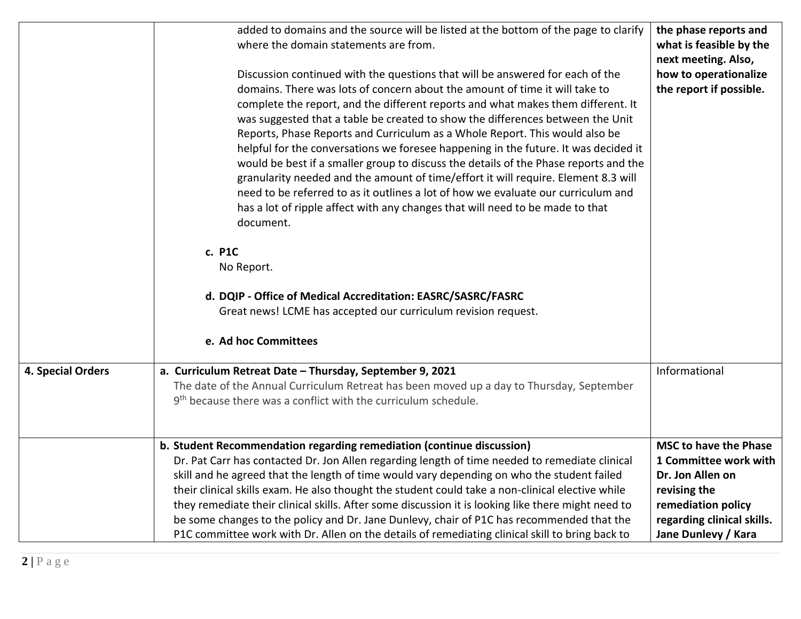|                   | added to domains and the source will be listed at the bottom of the page to clarify<br>where the domain statements are from.<br>Discussion continued with the questions that will be answered for each of the<br>domains. There was lots of concern about the amount of time it will take to<br>complete the report, and the different reports and what makes them different. It<br>was suggested that a table be created to show the differences between the Unit<br>Reports, Phase Reports and Curriculum as a Whole Report. This would also be<br>helpful for the conversations we foresee happening in the future. It was decided it<br>would be best if a smaller group to discuss the details of the Phase reports and the<br>granularity needed and the amount of time/effort it will require. Element 8.3 will<br>need to be referred to as it outlines a lot of how we evaluate our curriculum and<br>has a lot of ripple affect with any changes that will need to be made to that<br>document.<br>c. P1C<br>No Report. | the phase reports and<br>what is feasible by the<br>next meeting. Also,<br>how to operationalize<br>the report if possible. |
|-------------------|-----------------------------------------------------------------------------------------------------------------------------------------------------------------------------------------------------------------------------------------------------------------------------------------------------------------------------------------------------------------------------------------------------------------------------------------------------------------------------------------------------------------------------------------------------------------------------------------------------------------------------------------------------------------------------------------------------------------------------------------------------------------------------------------------------------------------------------------------------------------------------------------------------------------------------------------------------------------------------------------------------------------------------------|-----------------------------------------------------------------------------------------------------------------------------|
|                   | d. DQIP - Office of Medical Accreditation: EASRC/SASRC/FASRC<br>Great news! LCME has accepted our curriculum revision request.<br>e. Ad hoc Committees                                                                                                                                                                                                                                                                                                                                                                                                                                                                                                                                                                                                                                                                                                                                                                                                                                                                            |                                                                                                                             |
|                   |                                                                                                                                                                                                                                                                                                                                                                                                                                                                                                                                                                                                                                                                                                                                                                                                                                                                                                                                                                                                                                   |                                                                                                                             |
| 4. Special Orders | a. Curriculum Retreat Date - Thursday, September 9, 2021<br>The date of the Annual Curriculum Retreat has been moved up a day to Thursday, September<br>9 <sup>th</sup> because there was a conflict with the curriculum schedule.                                                                                                                                                                                                                                                                                                                                                                                                                                                                                                                                                                                                                                                                                                                                                                                                | Informational                                                                                                               |
|                   | b. Student Recommendation regarding remediation (continue discussion)                                                                                                                                                                                                                                                                                                                                                                                                                                                                                                                                                                                                                                                                                                                                                                                                                                                                                                                                                             | <b>MSC to have the Phase</b>                                                                                                |
|                   | Dr. Pat Carr has contacted Dr. Jon Allen regarding length of time needed to remediate clinical<br>skill and he agreed that the length of time would vary depending on who the student failed<br>their clinical skills exam. He also thought the student could take a non-clinical elective while<br>they remediate their clinical skills. After some discussion it is looking like there might need to<br>be some changes to the policy and Dr. Jane Dunlevy, chair of P1C has recommended that the                                                                                                                                                                                                                                                                                                                                                                                                                                                                                                                               | 1 Committee work with<br>Dr. Jon Allen on<br>revising the<br>remediation policy<br>regarding clinical skills.               |
|                   | P1C committee work with Dr. Allen on the details of remediating clinical skill to bring back to                                                                                                                                                                                                                                                                                                                                                                                                                                                                                                                                                                                                                                                                                                                                                                                                                                                                                                                                   | Jane Dunlevy / Kara                                                                                                         |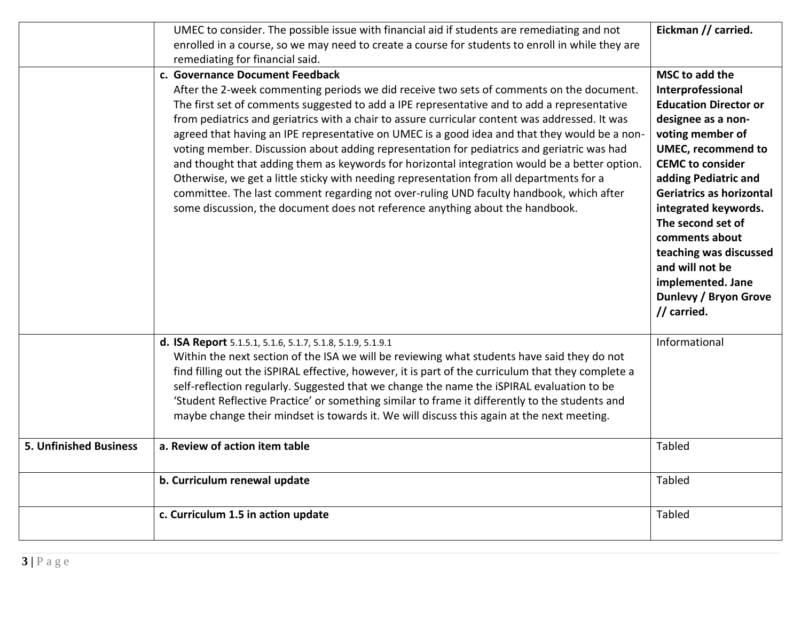|                               | UMEC to consider. The possible issue with financial aid if students are remediating and not<br>enrolled in a course, so we may need to create a course for students to enroll in while they are<br>remediating for financial said.                                                                                                                                                                                                                                                                                                                                                                                                                                                                                                                                                                                                                                                                   | Eickman // carried.                                                                                                                                                                                                                                                                                                                                                                                |
|-------------------------------|------------------------------------------------------------------------------------------------------------------------------------------------------------------------------------------------------------------------------------------------------------------------------------------------------------------------------------------------------------------------------------------------------------------------------------------------------------------------------------------------------------------------------------------------------------------------------------------------------------------------------------------------------------------------------------------------------------------------------------------------------------------------------------------------------------------------------------------------------------------------------------------------------|----------------------------------------------------------------------------------------------------------------------------------------------------------------------------------------------------------------------------------------------------------------------------------------------------------------------------------------------------------------------------------------------------|
|                               | c. Governance Document Feedback<br>After the 2-week commenting periods we did receive two sets of comments on the document.<br>The first set of comments suggested to add a IPE representative and to add a representative<br>from pediatrics and geriatrics with a chair to assure curricular content was addressed. It was<br>agreed that having an IPE representative on UMEC is a good idea and that they would be a non-<br>voting member. Discussion about adding representation for pediatrics and geriatric was had<br>and thought that adding them as keywords for horizontal integration would be a better option.<br>Otherwise, we get a little sticky with needing representation from all departments for a<br>committee. The last comment regarding not over-ruling UND faculty handbook, which after<br>some discussion, the document does not reference anything about the handbook. | MSC to add the<br>Interprofessional<br><b>Education Director or</b><br>designee as a non-<br>voting member of<br><b>UMEC, recommend to</b><br><b>CEMC</b> to consider<br>adding Pediatric and<br>Geriatrics as horizontal<br>integrated keywords.<br>The second set of<br>comments about<br>teaching was discussed<br>and will not be<br>implemented. Jane<br>Dunlevy / Bryon Grove<br>// carried. |
|                               | d. ISA Report 5.1.5.1, 5.1.6, 5.1.7, 5.1.8, 5.1.9, 5.1.9.1<br>Within the next section of the ISA we will be reviewing what students have said they do not<br>find filling out the iSPIRAL effective, however, it is part of the curriculum that they complete a<br>self-reflection regularly. Suggested that we change the name the iSPIRAL evaluation to be<br>'Student Reflective Practice' or something similar to frame it differently to the students and<br>maybe change their mindset is towards it. We will discuss this again at the next meeting.                                                                                                                                                                                                                                                                                                                                          | Informational                                                                                                                                                                                                                                                                                                                                                                                      |
| <b>5. Unfinished Business</b> | a. Review of action item table                                                                                                                                                                                                                                                                                                                                                                                                                                                                                                                                                                                                                                                                                                                                                                                                                                                                       | Tabled                                                                                                                                                                                                                                                                                                                                                                                             |
|                               | b. Curriculum renewal update                                                                                                                                                                                                                                                                                                                                                                                                                                                                                                                                                                                                                                                                                                                                                                                                                                                                         | Tabled                                                                                                                                                                                                                                                                                                                                                                                             |
|                               | c. Curriculum 1.5 in action update                                                                                                                                                                                                                                                                                                                                                                                                                                                                                                                                                                                                                                                                                                                                                                                                                                                                   | Tabled                                                                                                                                                                                                                                                                                                                                                                                             |